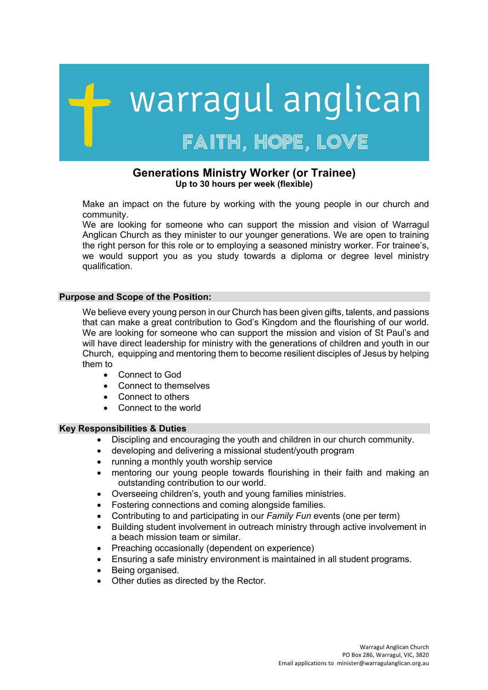# warragul anglican FAITH, HOPE, LOVE

# **Generations Ministry Worker (or Trainee) Up to 30 hours per week (flexible)**

Make an impact on the future by working with the young people in our church and community.

We are looking for someone who can support the mission and vision of Warragul Anglican Church as they minister to our younger generations. We are open to training the right person for this role or to employing a seasoned ministry worker. For trainee's, we would support you as you study towards a diploma or degree level ministry qualification.

## **Purpose and Scope of the Position:**

We believe every young person in our Church has been given gifts, talents, and passions that can make a great contribution to God's Kingdom and the flourishing of our world. We are looking for someone who can support the mission and vision of St Paul's and will have direct leadership for ministry with the generations of children and youth in our Church, equipping and mentoring them to become resilient disciples of Jesus by helping them to

- Connect to God
- Connect to themselves
- Connect to others
- Connect to the world

#### **Key Responsibilities & Duties**

- Discipling and encouraging the youth and children in our church community.
- developing and delivering a missional student/youth program
- running a monthly youth worship service
- mentoring our young people towards flourishing in their faith and making an outstanding contribution to our world.
- Overseeing children's, youth and young families ministries.
- Fostering connections and coming alongside families.
- Contributing to and participating in our *Family Fun* events (one per term)
- Building student involvement in outreach ministry through active involvement in a beach mission team or similar.
- Preaching occasionally (dependent on experience)
- Ensuring a safe ministry environment is maintained in all student programs.
- Being organised.
- Other duties as directed by the Rector.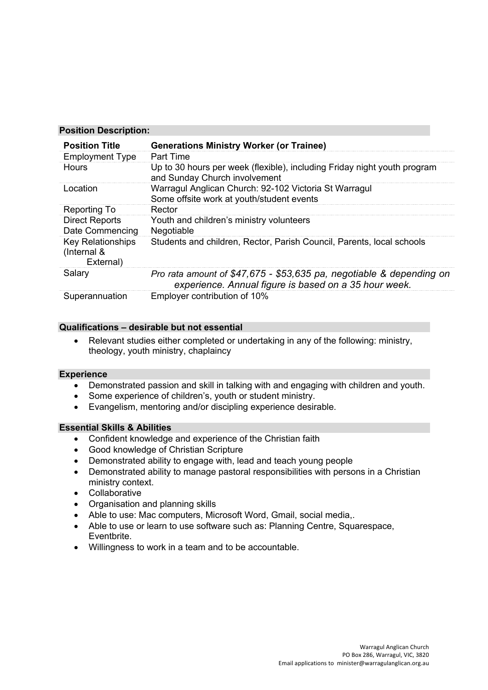## **Position Description:**

| <b>Position Title</b>                                | <b>Generations Ministry Worker (or Trainee)</b>                                                                               |
|------------------------------------------------------|-------------------------------------------------------------------------------------------------------------------------------|
| <b>Employment Type</b>                               | <b>Part Time</b>                                                                                                              |
| <b>Hours</b>                                         | Up to 30 hours per week (flexible), including Friday night youth program<br>and Sunday Church involvement                     |
| Location                                             | Warragul Anglican Church: 92-102 Victoria St Warragul<br>Some offsite work at youth/student events                            |
| Reporting To                                         | Rector                                                                                                                        |
| <b>Direct Reports</b><br>Date Commencing             | Youth and children's ministry volunteers<br>Negotiable                                                                        |
| <b>Key Relationships</b><br>(Internal &<br>External) | Students and children, Rector, Parish Council, Parents, local schools                                                         |
| Salary                                               | Pro rata amount of \$47,675 - \$53,635 pa, negotiable & depending on<br>experience. Annual figure is based on a 35 hour week. |
| Superannuation                                       | Employer contribution of 10%                                                                                                  |

# **Qualifications – desirable but not essential**

• Relevant studies either completed or undertaking in any of the following: ministry, theology, youth ministry, chaplaincy

# **Experience**

- Demonstrated passion and skill in talking with and engaging with children and youth.
- Some experience of children's, youth or student ministry.
- Evangelism, mentoring and/or discipling experience desirable.

# **Essential Skills & Abilities**

- Confident knowledge and experience of the Christian faith
- Good knowledge of Christian Scripture
- Demonstrated ability to engage with, lead and teach young people
- Demonstrated ability to manage pastoral responsibilities with persons in a Christian ministry context.
- Collaborative
- Organisation and planning skills
- Able to use: Mac computers, Microsoft Word, Gmail, social media,.
- Able to use or learn to use software such as: Planning Centre, Squarespace, **Eventbrite**
- Willingness to work in a team and to be accountable.